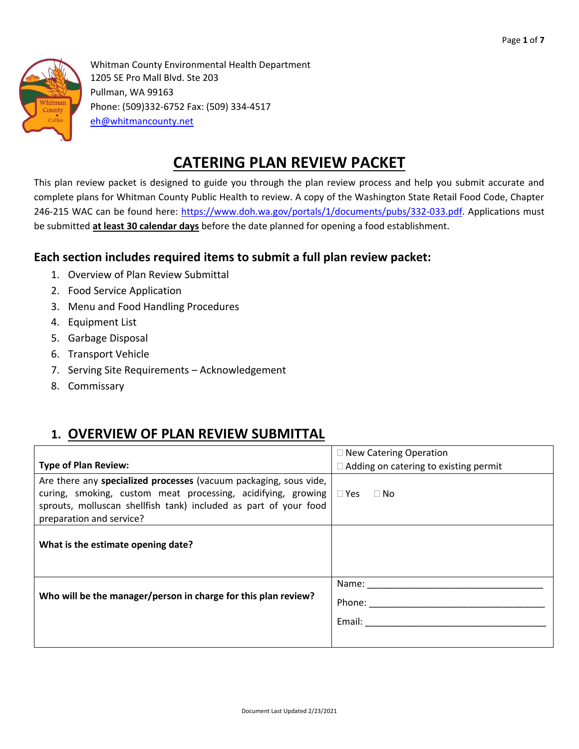

Whitman County Environmental Health Department 1205 SE Pro Mall Blvd. Ste 203 Pullman, WA 99163 Phone: (509)332-6752 Fax: (509) 334-4517 [eh@whitmancounty.net](mailto:eh@whitmancounty.net)

# **CATERING PLAN REVIEW PACKET**

This plan review packet is designed to guide you through the plan review process and help you submit accurate and complete plans for Whitman County Public Health to review. A copy of the Washington State Retail Food Code, Chapter 246-215 WAC can be found here: [https://www.doh.wa.gov/portals/1/documents/pubs/332-033.pdf.](https://www.doh.wa.gov/portals/1/documents/pubs/332-033.pdf) Applications must be submitted **at least 30 calendar days** before the date planned for opening a food establishment.

### **Each section includes required items to submit a full plan review packet:**

- 1. Overview of Plan Review Submittal
- 2. Food Service Application
- 3. Menu and Food Handling Procedures
- 4. Equipment List
- 5. Garbage Disposal
- 6. Transport Vehicle
- 7. Serving Site Requirements Acknowledgement
- 8. Commissary

## **1. OVERVIEW OF PLAN REVIEW SUBMITTAL**

|                                                                                                                                                                                                                                   | $\Box$ New Catering Operation                |
|-----------------------------------------------------------------------------------------------------------------------------------------------------------------------------------------------------------------------------------|----------------------------------------------|
| <b>Type of Plan Review:</b>                                                                                                                                                                                                       | $\Box$ Adding on catering to existing permit |
| Are there any specialized processes (vacuum packaging, sous vide,<br>curing, smoking, custom meat processing, acidifying, growing<br>sprouts, molluscan shellfish tank) included as part of your food<br>preparation and service? | $\Box$ Yes $\Box$ No                         |
| What is the estimate opening date?                                                                                                                                                                                                |                                              |
| Who will be the manager/person in charge for this plan review?                                                                                                                                                                    | Name:<br>Phone: $\_\$<br>Email:              |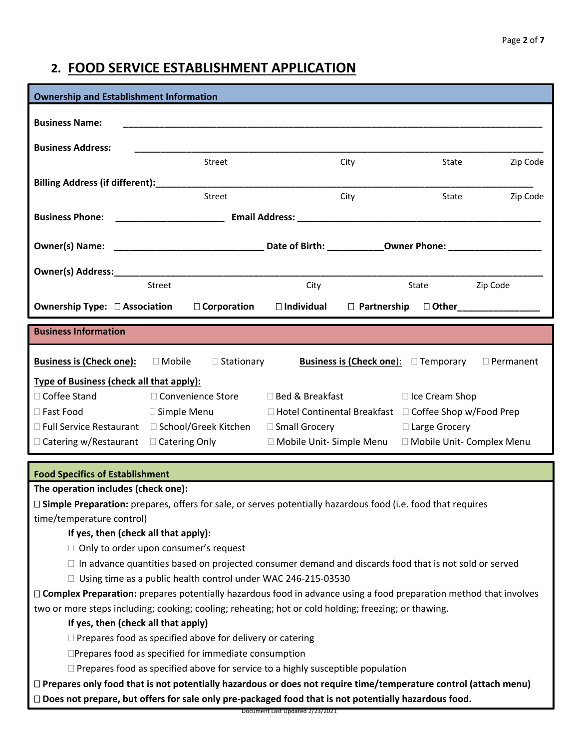## **2. FOOD SERVICE ESTABLISHMENT APPLICATION**

| <b>Ownership and Establishment Information</b>                                                                 |                     |                   |                                                                                                               |               |                                                  |                  |  |  |  |  |
|----------------------------------------------------------------------------------------------------------------|---------------------|-------------------|---------------------------------------------------------------------------------------------------------------|---------------|--------------------------------------------------|------------------|--|--|--|--|
| <b>Business Name:</b>                                                                                          |                     |                   |                                                                                                               |               |                                                  |                  |  |  |  |  |
|                                                                                                                |                     |                   |                                                                                                               |               |                                                  |                  |  |  |  |  |
| <b>Business Address:</b>                                                                                       |                     |                   |                                                                                                               |               |                                                  |                  |  |  |  |  |
|                                                                                                                | Street              |                   |                                                                                                               | City          | State                                            | Zip Code         |  |  |  |  |
| Billing Address (if different):________                                                                        |                     |                   |                                                                                                               |               |                                                  |                  |  |  |  |  |
|                                                                                                                | Street              |                   |                                                                                                               | City          | State                                            | Zip Code         |  |  |  |  |
| <b>Business Phone:</b>                                                                                         |                     |                   | Email Address: North and Second Communications of the Communication of the Communication of the Communication |               |                                                  |                  |  |  |  |  |
|                                                                                                                |                     |                   |                                                                                                               |               |                                                  |                  |  |  |  |  |
|                                                                                                                |                     |                   |                                                                                                               |               |                                                  |                  |  |  |  |  |
|                                                                                                                |                     |                   |                                                                                                               |               |                                                  |                  |  |  |  |  |
|                                                                                                                | Street              |                   | City                                                                                                          |               | State                                            | Zip Code         |  |  |  |  |
| <b>Ownership Type: □ Association</b>                                                                           | □ Corporation       |                   | $\square$ Individual                                                                                          | □ Partnership |                                                  | $\Box$ Other     |  |  |  |  |
| <b>Business Information</b>                                                                                    |                     |                   |                                                                                                               |               |                                                  |                  |  |  |  |  |
|                                                                                                                |                     |                   |                                                                                                               |               |                                                  |                  |  |  |  |  |
| <b>Business is (Check one):</b>                                                                                | $\Box$ Mobile       | $\Box$ Stationary |                                                                                                               |               | <b>Business is (Check one):</b> $\Box$ Temporary | $\Box$ Permanent |  |  |  |  |
| Type of Business (check all that apply):                                                                       |                     |                   |                                                                                                               |               |                                                  |                  |  |  |  |  |
| □ Coffee Stand                                                                                                 | □ Convenience Store |                   | □ Bed & Breakfast                                                                                             |               | $\Box$ Ice Cream Shop                            |                  |  |  |  |  |
| □ Fast Food                                                                                                    | □ Simple Menu       |                   | $\Box$ Hotel Continental Breakfast $\Box$ Coffee Shop w/Food Prep                                             |               |                                                  |                  |  |  |  |  |
| □ Full Service Restaurant □ School/Greek Kitchen                                                               |                     |                   | □ Small Grocery                                                                                               |               | □ Large Grocery                                  |                  |  |  |  |  |
| □ Catering w/Restaurant □ Catering Only                                                                        |                     |                   | □ Mobile Unit- Simple Menu □ Mobile Unit- Complex Menu                                                        |               |                                                  |                  |  |  |  |  |
| <b>Food Specifics of Establishment</b>                                                                         |                     |                   |                                                                                                               |               |                                                  |                  |  |  |  |  |
| The operation includes (check one):                                                                            |                     |                   |                                                                                                               |               |                                                  |                  |  |  |  |  |
| □ Simple Preparation: prepares, offers for sale, or serves potentially hazardous food (i.e. food that requires |                     |                   |                                                                                                               |               |                                                  |                  |  |  |  |  |
| time/temperature control)                                                                                      |                     |                   |                                                                                                               |               |                                                  |                  |  |  |  |  |
| If yes, then (check all that apply):                                                                           |                     |                   |                                                                                                               |               |                                                  |                  |  |  |  |  |
|                                                                                                                |                     |                   |                                                                                                               |               | $\Box$ Only to order upon consumer's request     |                  |  |  |  |  |

- $\Box$  In advance quantities based on projected consumer demand and discards food that is not sold or served
- $\Box$  Using time as a public health control under WAC 246-215-03530

 **Complex Preparation:** prepares potentially hazardous food in advance using a food preparation method that involves two or more steps including; cooking; cooling; reheating; hot or cold holding; freezing; or thawing.

#### **If yes, then (check all that apply)**

 $\Box$  Prepares food as specified above for delivery or catering

Prepares food as specified for immediate consumption

 $\Box$  Prepares food as specified above for service to a highly susceptible population

 **Prepares only food that is not potentially hazardous or does not require time/temperature control (attach menu) Does not prepare, but offers for sale only pre-packaged food that is not potentially hazardous food.** 

Document Last Updated 2/23/2021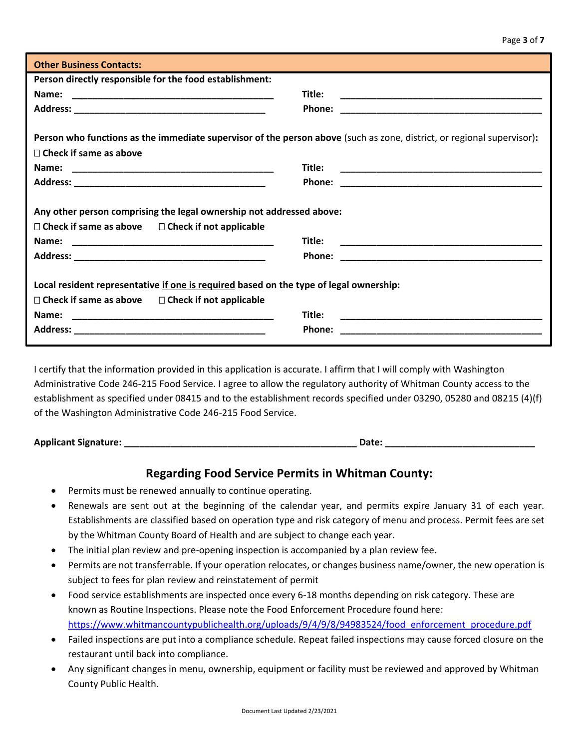| <b>Other Business Contacts:</b>                                                                                                                                                                                              |                                                                                                                                           |
|------------------------------------------------------------------------------------------------------------------------------------------------------------------------------------------------------------------------------|-------------------------------------------------------------------------------------------------------------------------------------------|
| Person directly responsible for the food establishment:                                                                                                                                                                      |                                                                                                                                           |
| Name:                                                                                                                                                                                                                        | Title:                                                                                                                                    |
|                                                                                                                                                                                                                              | Phone:<br><u> 1980 - Jan James, Amerikaansk politiker (* 1918)</u>                                                                        |
|                                                                                                                                                                                                                              |                                                                                                                                           |
| Person who functions as the immediate supervisor of the person above (such as zone, district, or regional supervisor):                                                                                                       |                                                                                                                                           |
| $\Box$ Check if same as above                                                                                                                                                                                                |                                                                                                                                           |
|                                                                                                                                                                                                                              | Title:                                                                                                                                    |
|                                                                                                                                                                                                                              |                                                                                                                                           |
| Any other person comprising the legal ownership not addressed above:<br>$\Box$ Check if same as above $\Box$ Check if not applicable                                                                                         |                                                                                                                                           |
|                                                                                                                                                                                                                              | Title:                                                                                                                                    |
|                                                                                                                                                                                                                              | Phone:                                                                                                                                    |
| Local resident representative if one is required based on the type of legal ownership:<br>$\Box$ Check if same as above $\Box$ Check if not applicable<br>Name:<br><u> 1980 - John Stein, Amerikaansk politiker († 1901)</u> | Title:<br>Phone:<br><u> 1989 - Johann John Stone, markin film yn y brening yn y brening yn y brening yn y brening yn y brening yn y b</u> |

I certify that the information provided in this application is accurate. I affirm that I will comply with Washington Administrative Code 246-215 Food Service. I agree to allow the regulatory authority of Whitman County access to the establishment as specified under 08415 and to the establishment records specified under 03290, 05280 and 08215 (4)(f) of the Washington Administrative Code 246-215 Food Service.

**Applicant Signature: \_\_\_\_\_\_\_\_\_\_\_\_\_\_\_\_\_\_\_\_\_\_\_\_\_\_\_\_\_\_\_\_\_\_\_\_\_\_\_\_\_\_\_\_\_ Date: \_\_\_\_\_\_\_\_\_\_\_\_\_\_\_\_\_\_\_\_\_\_\_\_\_\_\_\_\_**

#### **Regarding Food Service Permits in Whitman County:**

- Permits must be renewed annually to continue operating.
- Renewals are sent out at the beginning of the calendar year, and permits expire January 31 of each year. Establishments are classified based on operation type and risk category of menu and process. Permit fees are set by the Whitman County Board of Health and are subject to change each year.
- The initial plan review and pre-opening inspection is accompanied by a plan review fee.
- Permits are not transferrable. If your operation relocates, or changes business name/owner, the new operation is subject to fees for plan review and reinstatement of permit
- Food service establishments are inspected once every 6-18 months depending on risk category. These are known as Routine Inspections. Please note the Food Enforcement Procedure found here: [https://www.whitmancountypublichealth.org/uploads/9/4/9/8/94983524/food\\_enforcement\\_procedure.pdf](https://www.whitmancountypublichealth.org/uploads/9/4/9/8/94983524/food_enforcement_procedure.pdf)
- Failed inspections are put into a compliance schedule. Repeat failed inspections may cause forced closure on the restaurant until back into compliance.
- Any significant changes in menu, ownership, equipment or facility must be reviewed and approved by Whitman County Public Health.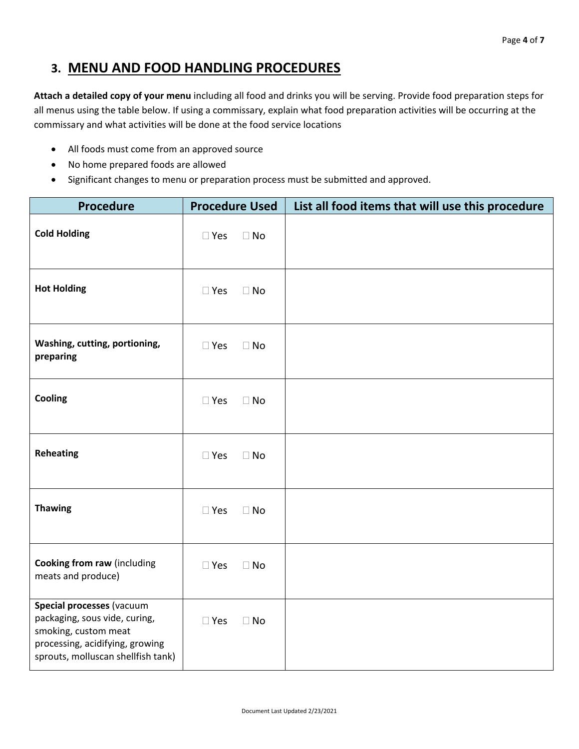### **3. MENU AND FOOD HANDLING PROCEDURES**

**Attach a detailed copy of your menu** including all food and drinks you will be serving. Provide food preparation steps for all menus using the table below. If using a commissary, explain what food preparation activities will be occurring at the commissary and what activities will be done at the food service locations

- All foods must come from an approved source
- No home prepared foods are allowed
- Significant changes to menu or preparation process must be submitted and approved.

| <b>Procedure</b>                                                                                                                                            | <b>Procedure Used</b>      | List all food items that will use this procedure |
|-------------------------------------------------------------------------------------------------------------------------------------------------------------|----------------------------|--------------------------------------------------|
| <b>Cold Holding</b>                                                                                                                                         | $\square$ Yes<br>$\Box$ No |                                                  |
| <b>Hot Holding</b>                                                                                                                                          | $\square$ Yes<br>$\Box$ No |                                                  |
| Washing, cutting, portioning,<br>preparing                                                                                                                  | $\square$ Yes<br>$\Box$ No |                                                  |
| Cooling                                                                                                                                                     | $\square$ Yes<br>$\Box$ No |                                                  |
| <b>Reheating</b>                                                                                                                                            | $\square$ Yes<br>$\Box$ No |                                                  |
| <b>Thawing</b>                                                                                                                                              | $\square$ Yes<br>$\Box$ No |                                                  |
| <b>Cooking from raw (including</b><br>meats and produce)                                                                                                    | $\square$ Yes<br>$\Box$ No |                                                  |
| Special processes (vacuum<br>packaging, sous vide, curing,<br>smoking, custom meat<br>processing, acidifying, growing<br>sprouts, molluscan shellfish tank) | $\square$ Yes<br>$\Box$ No |                                                  |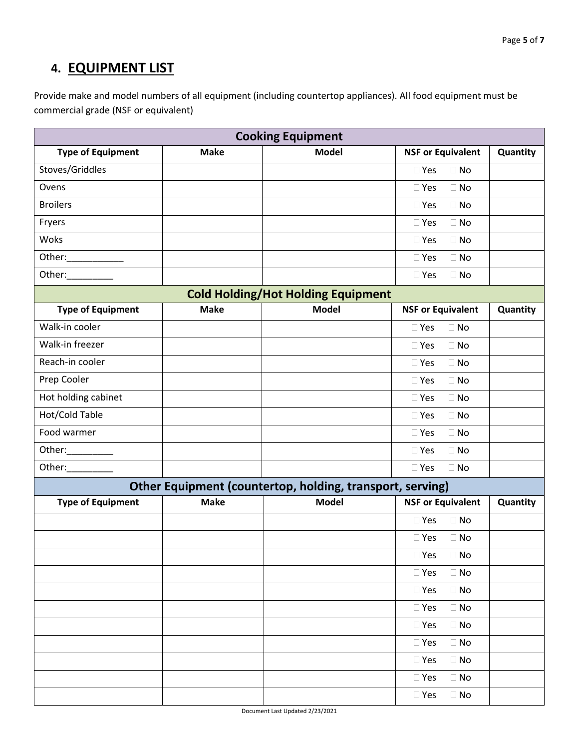# **4. EQUIPMENT LIST**

Provide make and model numbers of all equipment (including countertop appliances). All food equipment must be commercial grade (NSF or equivalent)

| <b>Type of Equipment</b><br><b>Make</b><br><b>Model</b><br><b>NSF or Equivalent</b><br>Quantity<br>Stoves/Griddles<br>$\square$ Yes<br>$\Box$ No<br>Ovens<br>$\Box$ No<br>$\square$ Yes<br><b>Broilers</b><br>$\Box$ No<br>$\square$ Yes<br>Fryers<br>$\Box$ No<br>$\square$ Yes<br>Woks<br>$\square$ Yes<br>$\Box$ No<br>Other:____________<br>$\Box$ No<br>$\Box$ Yes<br>Other:__________<br>$\square$ Yes<br>$\Box$ No<br><b>Cold Holding/Hot Holding Equipment</b><br><b>Make</b><br><b>Model</b><br><b>NSF or Equivalent</b><br><b>Type of Equipment</b><br>Quantity<br>Walk-in cooler<br>$\Box$ No<br>$\Box$ Yes<br>Walk-in freezer<br>$\Box$ Yes<br>$\Box$ No<br>Reach-in cooler<br>$\square$ Yes<br>$\Box$ No<br>Prep Cooler<br>$\Box$ No<br>$\square$ Yes<br>Hot holding cabinet<br>$\Box$ No<br>$\Box$ Yes<br>Hot/Cold Table<br>$\Box$ No<br>$\Box$ Yes<br>Food warmer<br>$\Box$ No<br>$\square$ Yes<br>Other:__________<br>$\Box$ Yes<br>$\Box$ No<br>Other:___________<br>$\square$ Yes<br>$\Box$ No<br>Other Equipment (countertop, holding, transport, serving)<br><b>Make</b><br><b>Model</b><br><b>Type of Equipment</b><br><b>NSF or Equivalent</b><br>Quantity<br>$\square$ Yes<br>$\Box$ No<br>$\square$ Yes<br>$\Box$ No<br>$\square$ Yes<br>$\Box$ No<br>$\square$ Yes<br>$\Box$ No<br>$\Box$ No<br>$\square$ Yes<br>$\square$ Yes<br>$\Box$ No<br>$\Box$ Yes<br>$\Box$ No<br>$\square$ Yes<br>$\Box$ No<br>$\square$ Yes<br>$\Box$ No<br>$\square$ Yes<br>$\Box$ No<br>$\square$ Yes<br>$\Box$ No | <b>Cooking Equipment</b> |  |  |  |  |
|-------------------------------------------------------------------------------------------------------------------------------------------------------------------------------------------------------------------------------------------------------------------------------------------------------------------------------------------------------------------------------------------------------------------------------------------------------------------------------------------------------------------------------------------------------------------------------------------------------------------------------------------------------------------------------------------------------------------------------------------------------------------------------------------------------------------------------------------------------------------------------------------------------------------------------------------------------------------------------------------------------------------------------------------------------------------------------------------------------------------------------------------------------------------------------------------------------------------------------------------------------------------------------------------------------------------------------------------------------------------------------------------------------------------------------------------------------------------------------------------------------------------------|--------------------------|--|--|--|--|
|                                                                                                                                                                                                                                                                                                                                                                                                                                                                                                                                                                                                                                                                                                                                                                                                                                                                                                                                                                                                                                                                                                                                                                                                                                                                                                                                                                                                                                                                                                                         |                          |  |  |  |  |
|                                                                                                                                                                                                                                                                                                                                                                                                                                                                                                                                                                                                                                                                                                                                                                                                                                                                                                                                                                                                                                                                                                                                                                                                                                                                                                                                                                                                                                                                                                                         |                          |  |  |  |  |
|                                                                                                                                                                                                                                                                                                                                                                                                                                                                                                                                                                                                                                                                                                                                                                                                                                                                                                                                                                                                                                                                                                                                                                                                                                                                                                                                                                                                                                                                                                                         |                          |  |  |  |  |
|                                                                                                                                                                                                                                                                                                                                                                                                                                                                                                                                                                                                                                                                                                                                                                                                                                                                                                                                                                                                                                                                                                                                                                                                                                                                                                                                                                                                                                                                                                                         |                          |  |  |  |  |
|                                                                                                                                                                                                                                                                                                                                                                                                                                                                                                                                                                                                                                                                                                                                                                                                                                                                                                                                                                                                                                                                                                                                                                                                                                                                                                                                                                                                                                                                                                                         |                          |  |  |  |  |
|                                                                                                                                                                                                                                                                                                                                                                                                                                                                                                                                                                                                                                                                                                                                                                                                                                                                                                                                                                                                                                                                                                                                                                                                                                                                                                                                                                                                                                                                                                                         |                          |  |  |  |  |
|                                                                                                                                                                                                                                                                                                                                                                                                                                                                                                                                                                                                                                                                                                                                                                                                                                                                                                                                                                                                                                                                                                                                                                                                                                                                                                                                                                                                                                                                                                                         |                          |  |  |  |  |
|                                                                                                                                                                                                                                                                                                                                                                                                                                                                                                                                                                                                                                                                                                                                                                                                                                                                                                                                                                                                                                                                                                                                                                                                                                                                                                                                                                                                                                                                                                                         |                          |  |  |  |  |
|                                                                                                                                                                                                                                                                                                                                                                                                                                                                                                                                                                                                                                                                                                                                                                                                                                                                                                                                                                                                                                                                                                                                                                                                                                                                                                                                                                                                                                                                                                                         |                          |  |  |  |  |
|                                                                                                                                                                                                                                                                                                                                                                                                                                                                                                                                                                                                                                                                                                                                                                                                                                                                                                                                                                                                                                                                                                                                                                                                                                                                                                                                                                                                                                                                                                                         |                          |  |  |  |  |
|                                                                                                                                                                                                                                                                                                                                                                                                                                                                                                                                                                                                                                                                                                                                                                                                                                                                                                                                                                                                                                                                                                                                                                                                                                                                                                                                                                                                                                                                                                                         |                          |  |  |  |  |
|                                                                                                                                                                                                                                                                                                                                                                                                                                                                                                                                                                                                                                                                                                                                                                                                                                                                                                                                                                                                                                                                                                                                                                                                                                                                                                                                                                                                                                                                                                                         |                          |  |  |  |  |
|                                                                                                                                                                                                                                                                                                                                                                                                                                                                                                                                                                                                                                                                                                                                                                                                                                                                                                                                                                                                                                                                                                                                                                                                                                                                                                                                                                                                                                                                                                                         |                          |  |  |  |  |
|                                                                                                                                                                                                                                                                                                                                                                                                                                                                                                                                                                                                                                                                                                                                                                                                                                                                                                                                                                                                                                                                                                                                                                                                                                                                                                                                                                                                                                                                                                                         |                          |  |  |  |  |
|                                                                                                                                                                                                                                                                                                                                                                                                                                                                                                                                                                                                                                                                                                                                                                                                                                                                                                                                                                                                                                                                                                                                                                                                                                                                                                                                                                                                                                                                                                                         |                          |  |  |  |  |
|                                                                                                                                                                                                                                                                                                                                                                                                                                                                                                                                                                                                                                                                                                                                                                                                                                                                                                                                                                                                                                                                                                                                                                                                                                                                                                                                                                                                                                                                                                                         |                          |  |  |  |  |
|                                                                                                                                                                                                                                                                                                                                                                                                                                                                                                                                                                                                                                                                                                                                                                                                                                                                                                                                                                                                                                                                                                                                                                                                                                                                                                                                                                                                                                                                                                                         |                          |  |  |  |  |
|                                                                                                                                                                                                                                                                                                                                                                                                                                                                                                                                                                                                                                                                                                                                                                                                                                                                                                                                                                                                                                                                                                                                                                                                                                                                                                                                                                                                                                                                                                                         |                          |  |  |  |  |
|                                                                                                                                                                                                                                                                                                                                                                                                                                                                                                                                                                                                                                                                                                                                                                                                                                                                                                                                                                                                                                                                                                                                                                                                                                                                                                                                                                                                                                                                                                                         |                          |  |  |  |  |
|                                                                                                                                                                                                                                                                                                                                                                                                                                                                                                                                                                                                                                                                                                                                                                                                                                                                                                                                                                                                                                                                                                                                                                                                                                                                                                                                                                                                                                                                                                                         |                          |  |  |  |  |
|                                                                                                                                                                                                                                                                                                                                                                                                                                                                                                                                                                                                                                                                                                                                                                                                                                                                                                                                                                                                                                                                                                                                                                                                                                                                                                                                                                                                                                                                                                                         |                          |  |  |  |  |
|                                                                                                                                                                                                                                                                                                                                                                                                                                                                                                                                                                                                                                                                                                                                                                                                                                                                                                                                                                                                                                                                                                                                                                                                                                                                                                                                                                                                                                                                                                                         |                          |  |  |  |  |
|                                                                                                                                                                                                                                                                                                                                                                                                                                                                                                                                                                                                                                                                                                                                                                                                                                                                                                                                                                                                                                                                                                                                                                                                                                                                                                                                                                                                                                                                                                                         |                          |  |  |  |  |
|                                                                                                                                                                                                                                                                                                                                                                                                                                                                                                                                                                                                                                                                                                                                                                                                                                                                                                                                                                                                                                                                                                                                                                                                                                                                                                                                                                                                                                                                                                                         |                          |  |  |  |  |
|                                                                                                                                                                                                                                                                                                                                                                                                                                                                                                                                                                                                                                                                                                                                                                                                                                                                                                                                                                                                                                                                                                                                                                                                                                                                                                                                                                                                                                                                                                                         |                          |  |  |  |  |
|                                                                                                                                                                                                                                                                                                                                                                                                                                                                                                                                                                                                                                                                                                                                                                                                                                                                                                                                                                                                                                                                                                                                                                                                                                                                                                                                                                                                                                                                                                                         |                          |  |  |  |  |
|                                                                                                                                                                                                                                                                                                                                                                                                                                                                                                                                                                                                                                                                                                                                                                                                                                                                                                                                                                                                                                                                                                                                                                                                                                                                                                                                                                                                                                                                                                                         |                          |  |  |  |  |
|                                                                                                                                                                                                                                                                                                                                                                                                                                                                                                                                                                                                                                                                                                                                                                                                                                                                                                                                                                                                                                                                                                                                                                                                                                                                                                                                                                                                                                                                                                                         |                          |  |  |  |  |
|                                                                                                                                                                                                                                                                                                                                                                                                                                                                                                                                                                                                                                                                                                                                                                                                                                                                                                                                                                                                                                                                                                                                                                                                                                                                                                                                                                                                                                                                                                                         |                          |  |  |  |  |
|                                                                                                                                                                                                                                                                                                                                                                                                                                                                                                                                                                                                                                                                                                                                                                                                                                                                                                                                                                                                                                                                                                                                                                                                                                                                                                                                                                                                                                                                                                                         |                          |  |  |  |  |
|                                                                                                                                                                                                                                                                                                                                                                                                                                                                                                                                                                                                                                                                                                                                                                                                                                                                                                                                                                                                                                                                                                                                                                                                                                                                                                                                                                                                                                                                                                                         |                          |  |  |  |  |
|                                                                                                                                                                                                                                                                                                                                                                                                                                                                                                                                                                                                                                                                                                                                                                                                                                                                                                                                                                                                                                                                                                                                                                                                                                                                                                                                                                                                                                                                                                                         |                          |  |  |  |  |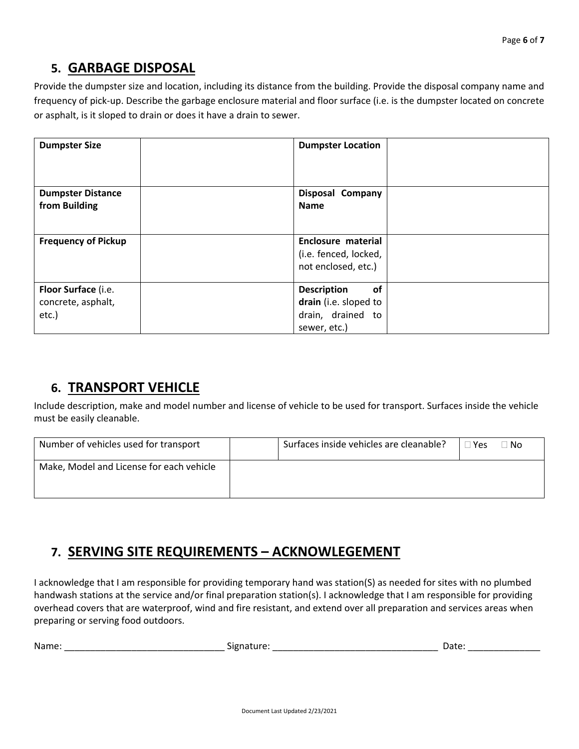## **5. GARBAGE DISPOSAL**

Provide the dumpster size and location, including its distance from the building. Provide the disposal company name and frequency of pick-up. Describe the garbage enclosure material and floor surface (i.e. is the dumpster located on concrete or asphalt, is it sloped to drain or does it have a drain to sewer.

| <b>Dumpster Size</b>       | <b>Dumpster Location</b>  |
|----------------------------|---------------------------|
|                            |                           |
| <b>Dumpster Distance</b>   | <b>Disposal Company</b>   |
| from Building              | <b>Name</b>               |
|                            |                           |
| <b>Frequency of Pickup</b> | <b>Enclosure material</b> |
|                            | (i.e. fenced, locked,     |
|                            | not enclosed, etc.)       |
|                            |                           |
| Floor Surface (i.e.        | <b>Description</b><br>of  |
| concrete, asphalt,         | drain (i.e. sloped to     |
| etc.)                      | drain, drained to         |
|                            | sewer, etc.)              |

## **6. TRANSPORT VEHICLE**

Include description, make and model number and license of vehicle to be used for transport. Surfaces inside the vehicle must be easily cleanable.

| Number of vehicles used for transport    | Surfaces inside vehicles are cleanable? | ⊺Yes | 1 No |
|------------------------------------------|-----------------------------------------|------|------|
| Make, Model and License for each vehicle |                                         |      |      |

# **7. SERVING SITE REQUIREMENTS – ACKNOWLEGEMENT**

I acknowledge that I am responsible for providing temporary hand was station(S) as needed for sites with no plumbed handwash stations at the service and/or final preparation station(s). I acknowledge that I am responsible for providing overhead covers that are waterproof, wind and fire resistant, and extend over all preparation and services areas when preparing or serving food outdoors.

| Namf<br>___ | טור | <b>Duc</b> |
|-------------|-----|------------|
|             |     |            |